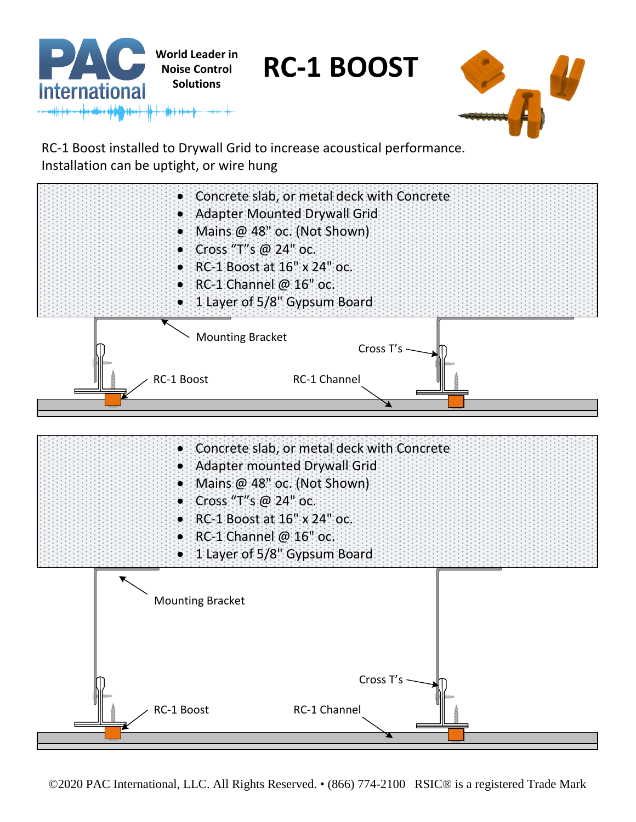

RC-1 Boost installed to Drywall Grid to increase acoustical performance. Installation can be uptight, or wire hung



©2020 PAC International, LLC. All Rights Reserved. • (866) 774-2100 RSIC® is a registered Trade Mark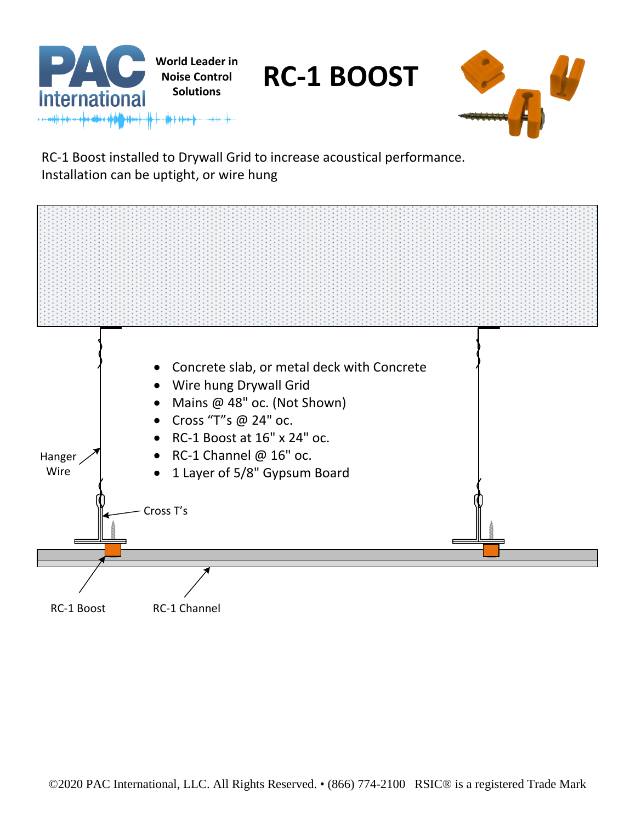

RC-1 Boost installed to Drywall Grid to increase acoustical performance. Installation can be uptight, or wire hung